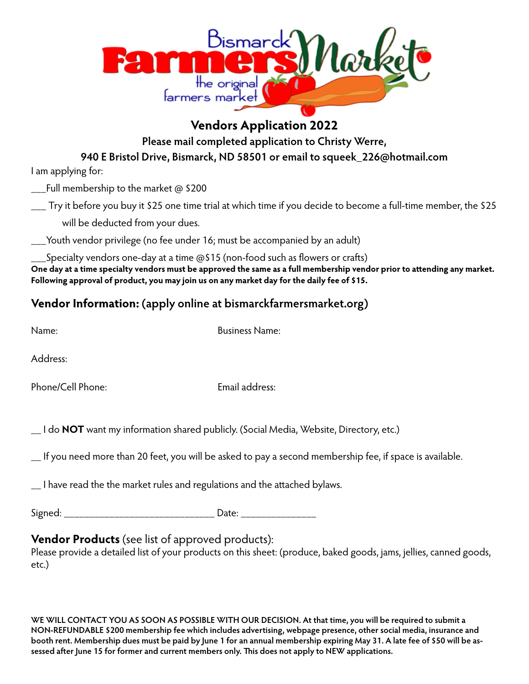

## **Vendors Application 2022**

**Please mail completed application to Christy Werre,** 

**940 E Bristol Drive, Bismarck, ND 58501 or email to squeek\_226@hotmail.com**

I am applying for:

\_\_\_Full membership to the market @ \$200

\_\_\_ Try it before you buy it \$25 one time trial at which time if you decide to become a full-time member, the \$25 will be deducted from your dues.

\_\_\_Youth vendor privilege (no fee under 16; must be accompanied by an adult)

\_\_\_Specialty vendors one-day at a time @\$15 (non-food such as flowers or crafts) **One day at a time specialty vendors must be approved the same as a full membership vendor prior to attending any market. Following approval of product, you may join us on any market day for the daily fee of \$15.**

# **Vendor Information: (apply online at bismarckfarmersmarket.org)**

Business Name:

Address:

Phone/Cell Phone: Email address:

\_\_ I do **NOT** want my information shared publicly. (Social Media, Website, Directory, etc.)

\_\_ If you need more than 20 feet, you will be asked to pay a second membership fee, if space is available.

\_\_ I have read the the market rules and regulations and the attached bylaws.

Signed: \_\_\_\_\_\_\_\_\_\_\_\_\_\_\_\_\_\_\_\_\_\_\_\_\_\_\_\_\_\_ Date: \_\_\_\_\_\_\_\_\_\_\_\_\_\_\_

## **Vendor Products** (see list of approved products):

Please provide a detailed list of your products on this sheet: (produce, baked goods, jams, jellies, canned goods, etc.)

**WE WILL CONTACT YOU AS SOON AS POSSIBLE WITH OUR DECISION. At that time, you will be required to submit a NON-REFUNDABLE \$200 membership fee which includes advertising, webpage presence, other social media, insurance and booth rent. Membership dues must be paid by June 1 for an annual membership expiring May 31. A late fee of \$50 will be assessed after June 15 for former and current members only. This does not apply to NEW applications.**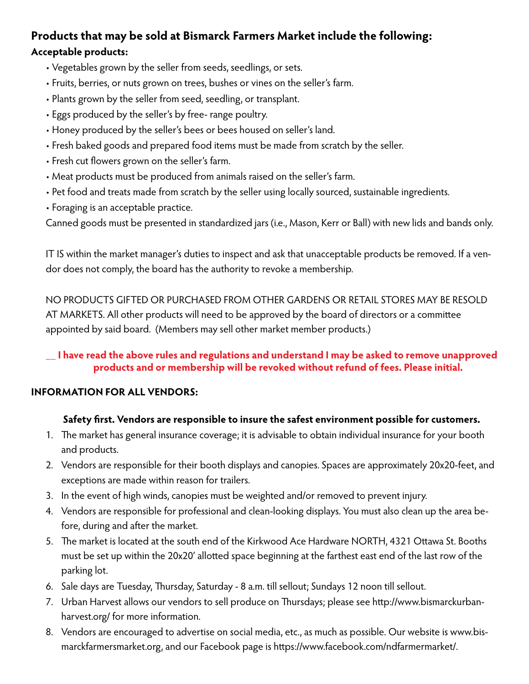## **Products that may be sold at Bismarck Farmers Market include the following: Acceptable products:**

- Vegetables grown by the seller from seeds, seedlings, or sets.
- Fruits, berries, or nuts grown on trees, bushes or vines on the seller's farm.
- Plants grown by the seller from seed, seedling, or transplant.
- Eggs produced by the seller's by free- range poultry.
- Honey produced by the seller's bees or bees housed on seller's land.
- Fresh baked goods and prepared food items must be made from scratch by the seller.
- Fresh cut flowers grown on the seller's farm.
- Meat products must be produced from animals raised on the seller's farm.
- Pet food and treats made from scratch by the seller using locally sourced, sustainable ingredients.
- Foraging is an acceptable practice.

Canned goods must be presented in standardized jars (i.e., Mason, Kerr or Ball) with new lids and bands only.

IT IS within the market manager's duties to inspect and ask that unacceptable products be removed. If a vendor does not comply, the board has the authority to revoke a membership.

NO PRODUCTS GIFTED OR PURCHASED FROM OTHER GARDENS OR RETAIL STORES MAY BE RESOLD AT MARKETS. All other products will need to be approved by the board of directors or a committee appointed by said board. (Members may sell other market member products.)

### **\_\_ I have read the above rules and regulations and understand I may be asked to remove unapproved products and or membership will be revoked without refund of fees. Please initial.**

### **INFORMATION FOR ALL VENDORS:**

### **Safety first. Vendors are responsible to insure the safest environment possible for customers.**

- 1. The market has general insurance coverage; it is advisable to obtain individual insurance for your booth and products.
- 2. Vendors are responsible for their booth displays and canopies. Spaces are approximately 20x20-feet, and exceptions are made within reason for trailers.
- 3. In the event of high winds, canopies must be weighted and/or removed to prevent injury.
- 4. Vendors are responsible for professional and clean-looking displays. You must also clean up the area before, during and after the market.
- 5. The market is located at the south end of the Kirkwood Ace Hardware NORTH, 4321 Ottawa St. Booths must be set up within the 20x20' allotted space beginning at the farthest east end of the last row of the parking lot.
- 6. Sale days are Tuesday, Thursday, Saturday 8 a.m. till sellout; Sundays 12 noon till sellout.
- 7. Urban Harvest allows our vendors to sell produce on Thursdays; please see http://www.bismarckurbanharvest.org/ for more information.
- 8. Vendors are encouraged to advertise on social media, etc., as much as possible. Our website is www.bismarckfarmersmarket.org, and our Facebook page is https://www.facebook.com/ndfarmermarket/.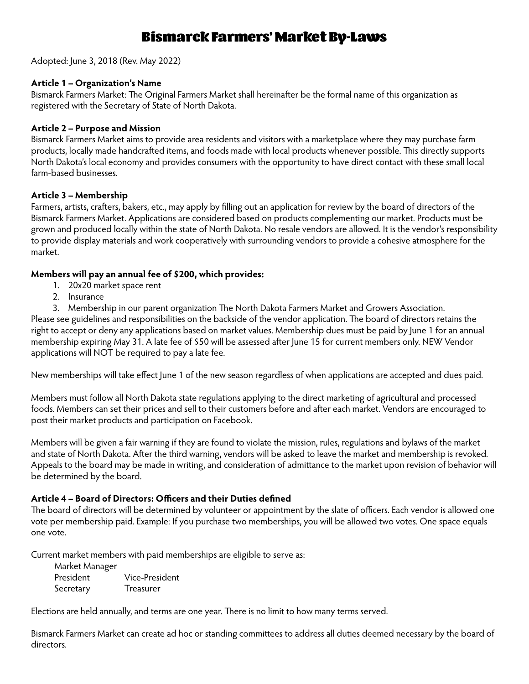# Bismarck Farmers' Market By-Laws

Adopted: June 3, 2018 (Rev. May 2022)

#### **Article 1 – Organization's Name**

Bismarck Farmers Market: The Original Farmers Market shall hereinafter be the formal name of this organization as registered with the Secretary of State of North Dakota.

#### **Article 2 – Purpose and Mission**

Bismarck Farmers Market aims to provide area residents and visitors with a marketplace where they may purchase farm products, locally made handcrafted items, and foods made with local products whenever possible. This directly supports North Dakota's local economy and provides consumers with the opportunity to have direct contact with these small local farm-based businesses.

#### **Article 3 – Membership**

Farmers, artists, crafters, bakers, etc., may apply by filling out an application for review by the board of directors of the Bismarck Farmers Market. Applications are considered based on products complementing our market. Products must be grown and produced locally within the state of North Dakota. No resale vendors are allowed. It is the vendor's responsibility to provide display materials and work cooperatively with surrounding vendors to provide a cohesive atmosphere for the market.

#### **Members will pay an annual fee of \$200, which provides:**

- 1. 20x20 market space rent
- 2. Insurance
- 3. Membership in our parent organization The North Dakota Farmers Market and Growers Association.

Please see guidelines and responsibilities on the backside of the vendor application. The board of directors retains the right to accept or deny any applications based on market values. Membership dues must be paid by June 1 for an annual membership expiring May 31. A late fee of \$50 will be assessed after June 15 for current members only. NEW Vendor applications will NOT be required to pay a late fee.

New memberships will take effect June 1 of the new season regardless of when applications are accepted and dues paid.

Members must follow all North Dakota state regulations applying to the direct marketing of agricultural and processed foods. Members can set their prices and sell to their customers before and after each market. Vendors are encouraged to post their market products and participation on Facebook.

Members will be given a fair warning if they are found to violate the mission, rules, regulations and bylaws of the market and state of North Dakota. After the third warning, vendors will be asked to leave the market and membership is revoked. Appeals to the board may be made in writing, and consideration of admittance to the market upon revision of behavior will be determined by the board.

#### **Article 4 – Board of Directors: Officers and their Duties defined**

The board of directors will be determined by volunteer or appointment by the slate of officers. Each vendor is allowed one vote per membership paid. Example: If you purchase two memberships, you will be allowed two votes. One space equals one vote.

Current market members with paid memberships are eligible to serve as:

| Market Manager |                  |
|----------------|------------------|
| President      | Vice-President   |
| Secretary      | <b>Treasurer</b> |

Elections are held annually, and terms are one year. There is no limit to how many terms served.

Bismarck Farmers Market can create ad hoc or standing committees to address all duties deemed necessary by the board of directors.